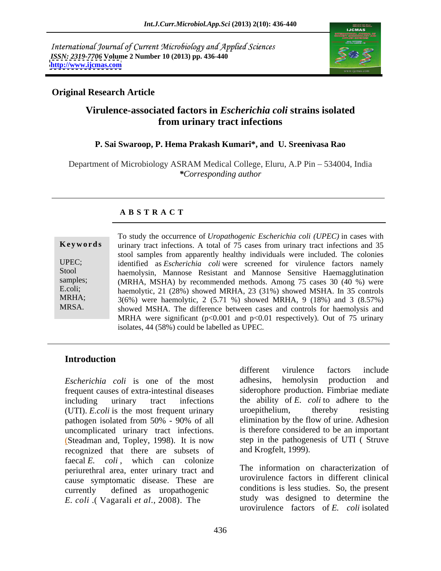International Journal of Current Microbiology and Applied Sciences *ISSN: 2319-7706* **Volume 2 Number 10 (2013) pp. 436-440 <http://www.ijcmas.com>**



## **Original Research Article**

# **Virulence-associated factors in** *Escherichia coli* **strains isolated from urinary tract infections**

### **P. Sai Swaroop, P. Hema Prakash Kumari\*, and U. Sreenivasa Rao**

Department of Microbiology ASRAM Medical College, Eluru, A.P Pin – 534004, India *\*Corresponding author* 

### **A B S T R A C T**

**Ke ywo rds** urinary tract infections. A total of 75 cases from urinary tract infections and 35 UPEC; identified as *Escherichia coli* were screened for virulence factors namely Stool haemolysin, Mannose Resistant and Mannose Sensitive Haemagglutination samples; (MRHA, MSHA) by recommended methods. Among 75 cases 30 (40 %) were E.coli;<br>haemolytic, 21 (28%) showed MRHA, 23 (31%) showed MSHA. In 35 controls MRHA; 3(6%) were haemolytic, 2 (5.71 %) showed MRHA, 9 (18%) and 3 (8.57%) To study the occurrence of *Uropathogenic Escherichia coli* (*UPEC*) in cases with<br>
urinary tract infections. A total of 75 cases from urinary tract infections and 35<br>
stool samples from apparently healthy individuals were stool samples from apparently healthy individuals were included. The colonies showed MSHA. The difference between cases and controls for haemolysis and MRHA were significant  $(p<0.001$  and  $p<0.01$  respectively). Out of 75 urinary isolates, 44 (58%) could be labelled as UPEC.

### **Introduction**

frequent causes of extra-intestinal diseases including urinary tract infections the ability of *E. coli* to adhere to the (UTI). *E.coli* is the most frequent urinary uroepithelium, thereby resisting pathogen isolated from 50% - 90% of all uncomplicated urinary tract infections. (Steadman and, Topley, 1998). It is now step in the pathogenesis of UTI ( Struve recognized that there are subsets of faecal *E. coli*, which can colonize periurethral area, enter urinary tract and cause symptomatic disease. These are currently defined as uropathogenic *E. coli* .( Vagarali *et al*., 2008). The

*Escherichia coli* is one of the most different virulence factors include adhesins, hemolysin production and siderophore production. Fimbriae mediate uroepithelium, thereby resisting elimination by the flow of urine. Adhesion is therefore considered to be an important and Krogfelt, 1999).

> The information on characterization of urovirulence factors in different clinical conditions is less studies. So, the present study was designed to determine the urovirulence factors of *E. coli* isolated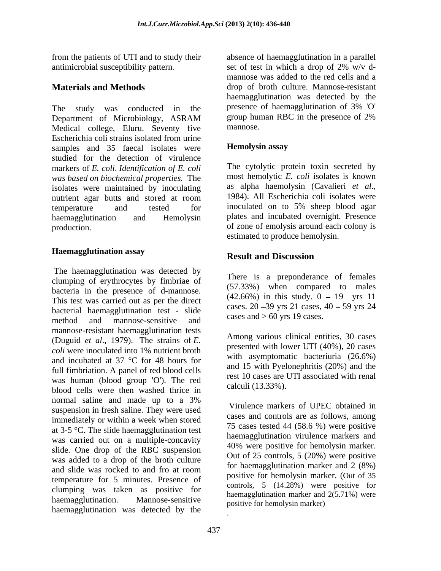antimicrobial susceptibility pattern. Set of test in which a drop of 2% w/v d-

Department of Microbiology, ASRAM group human RBC in the presence of 2% Medical college, Eluru. Seventy five mannose. Escherichia coli strains isolated from urine samples and 35 faecal isolates were **Hemolysin assay** studied for the detection of virulence markers of *E. coli*. *Identification of E. coli was based on biochemical properties.* The a most hemolytic E. coli isolates is known isolates were maintained by inoculating as alpha haemolysin (Cavalieri *et al.*, isolates were maintained by inoculating as alpha haemolysin (Cavalieri *et al.*, nutrient agar butts and stored at room 1984). All Escherichia coli isolates were nutrient agar butts and stored at room 1984). All Escherichia coli isolates were temperature and tested for inoculated on to 5% sheep blood agar haemagglutination and Hemolysin plates and incubated overnight. Presence

## **Haemagglutination assay**

The haemagglutination was detected by clumping of erythrocytes by fimbriae of bacteria in the presence of d-mannose. This test was carried out as per the direct bacterial haemagglutination test - slide method and mannose-sensitive and cases and ou yis in cases. mannose-resistant haemagglutination tests<br>
Among various clinical entities, 30 cases<br>  $\frac{10000 \times 10000}{10000 \times 100000}$ (Duguid *et al*., 1979). The strains of *E. coli* were inoculated into 1% nutrient broth and incubated at 37 °C for 48 hours for full fimbriation. A panel of red blood cells was human (blood group 'O'). The red blood cells were then washed thrice in normal saline and made up to a 3% suspension in fresh saline. They were used immediately or within a week when stored at 3-5 °C. The slide haemagglutination test was carried out on a multiple-concavity slide. One drop of the RBC suspension was added to a drop of the broth culture and slide was rocked to and fro at room temperature for 5 minutes. Presence of clumping was taken as positive for haemagglutination. Mannose-sensitive positive positive positive positive positive positive and  $2(3.71\%)$  were haemagglutination was detected by the

from the patients of UTI and to study their absence of haemagglutination in a parallel **Materials and Methods** drop of broth culture. Mannose-resistant The study was conducted in the presence of haemagglutination of 3% 'O'<br>Department of Microbiology ASRAM group human RBC in the presence of 2% set of test in which a drop of 2% w/v d mannose was added to the red cells and a haemagglutination was detected by the presence of haemagglutination of 3% 'O' group human RBC in the presence of 2% mannose.

## **Hemolysin assay**

production. of zone of emolysis around each colony is The cytolytic protein toxin secreted by most hemolytic *E. coli* isolates is known as alpha haemolysin (Cavalieri *et al*., 1984). All Escherichia coli isolates were estimated to produce hemolysin.

# **Result and Discussion**

There is a preponderance of females (57.33%) when compared to males  $(42.66\%)$  in this study.  $0 - 19$  yrs 11 cases. 20 - 39 yrs 21 cases,  $40 - 59$  yrs 24 cases and  $> 60$  yrs 19 cases.

 Among various clinical entities, <sup>30</sup> cases presented with lower UTI (40%), 20 cases with asymptomatic bacteriuria (26.6%) and 15 with Pyelonephritis (20%) and the rest 10 cases are UTI associated with renal calculi (13.33%).

Virulence markers of UPEC obtained in cases and controls are as follows, among 75 cases tested 44 (58.6 %) were positive haemagglutination virulence markers and 40% were positive for hemolysin marker. Out of 25 controls, 5 (20%) were positive for haemagglutination marker and 2 (8%) positive for hemolysin marker. (Out of 35 controls, 5 (14.28%) were positive for haemagglutination marker and 2(5.71%) were

.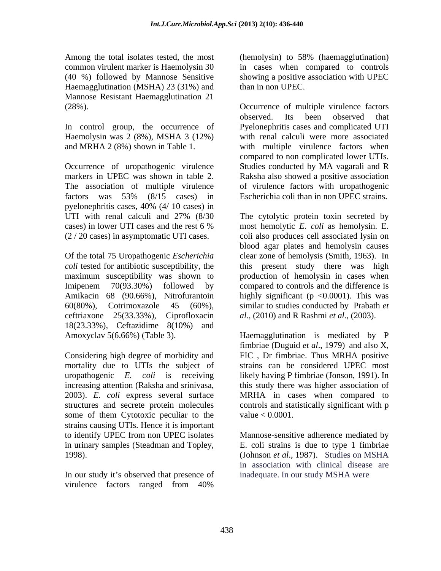Among the total isolates tested, the most Haemagglutination (MSHA) 23 (31%) and Mannose Resistant Haemagglutination 21

Haemolysin was 2 (8%), MSHA 3 (12%)

Occurrence of uropathogenic virulence factors was 53% (8/15 cases) in pyelonephritis cases, 40% (4/ 10 cases) in

18(23.33%), Ceftazidime 8(10%) and

uropathogenic *E. coli* is receiving 2003). *E. coli* express several surface some of them Cytotoxic peculiar to the value  $< 0.0001$ . strains causing UTIs. Hence it is important to identify UPEC from non UPEC isolates

virulence factors ranged from 40%

common virulent marker is Haemolysin 30 in cases when compared to controls (40 %) followed by Mannose Sensitive showing a positive association with UPEC (hemolysin) to 58% (haemagglutination) than in non UPEC.

(28%). Occurrence of multiple virulence factors In control group, the occurrence of Pyelonephritis cases and complicated UTI and MRHA 2 (8%) shown in Table 1. with multiple virulence factors when markers in UPEC was shown in table 2. Raksha also showed a positive association The association of multiple virulence of virulence factors with uropathogenic observed. Its been observed that with renal calculi were more associated compared to non complicated lower UTIs. Studies conducted by MA vagarali and R Escherichia coli than in non UPEC strains.

UTI with renal calculi and 27% (8/30 The cytolytic protein toxin secreted by cases) in lower UTI cases and the rest 6 % most hemolytic E. coli as hemolysin. E. (2 / 20 cases) in asymptomatic UTI cases. coli also produces cell associated lysin on Of the total 75 Uropathogenic *Escherichia*  clear zone of hemolysis (Smith, 1963). In *coli* tested for antibiotic susceptibility, the this present study there was high maximum susceptibility was shown to production of hemolysin in cases when Imipenem 70(93.30%) followed by compared to controls and the difference is Amikacin 68 (90.66%), Nitrofurantoin highly significant (p <0.0001). This was 60(80%), Cotrimoxazole 45 (60%), similar to studies conducted by Prabath *et*  ceftriaxone 25(33.33%), Ciprofloxacin *al*., (2010) and R Rashmi *et al*., (2003). The cytolytic protein toxin secreted by most hemolytic *E. coli* as hemolysin. E. blood agar plates and hemolysin causes

Amoxyclav 5(6.66%) (Table 3). Haemagglutination is mediated by P Considering high degree of morbidity and FIC , Dr fimbriae. Thus MRHA positive mortality due to UTIs the subject of strains can be considered UPEC most increasing attention (Raksha and srinivasa, this study there was higher association of structures and secrete protein molecules controls and statistically significant with p fimbriae (Duguid *et al*., 1979) and also X, likely having P fimbriae (Jonson, 1991). In MRHA in cases when compared to value  $< 0.0001$ .

in urinary samples (Steadman and Topley, E. coli strains is due to type 1 fimbriae<br>
(Johnson *et al.*, 1987). Studies on MSHA<br>
in association with clinical disease are<br>
In our study it's observed that presence of inadequat Mannose-sensitive adherence mediated by E. coli strains is due to type 1 fimbriae (Johnson *et al*., 1987). Studies on MSHA in association with clinical disease are inadequate. In our study MSHA were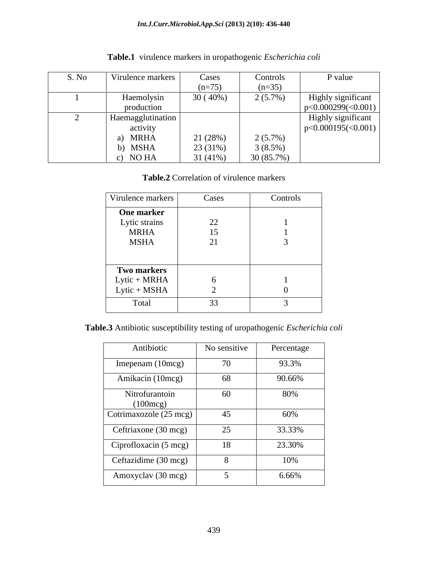| S. No | Virulence markers     | Cases    | Controls   | P value            |
|-------|-----------------------|----------|------------|--------------------|
|       |                       | $(n=75)$ | $(n=35)$   |                    |
|       | Haemolysin            | 30(40%   | $2(5.7\%)$ | Highly significant |
|       | production            |          |            | p<0.000299(<0.001) |
|       | Haemagglutination     |          |            | Highly significant |
|       | activity              |          |            | p<0.000195(<0.001) |
|       | <b>MRHA</b>           | 21 (28%) | $2(5.7\%)$ |                    |
|       | $^{\circ}$ MSHA       | 23 (31%) | $3(8.5\%)$ |                    |
|       | NO HA<br>$\mathbf{v}$ | 31 (41%) | 30(85.7%)  |                    |

**Table.1** virulence markers in uropathogenic *Escherichia coli*

# **Table.2** Correlation of virulence markers

| Virulence markers  | Cases                                    | Controls |
|--------------------|------------------------------------------|----------|
| One marker         |                                          |          |
| Lytic strains      | 22                                       |          |
| <b>MRHA</b>        | 15                                       |          |
| ${\rm MSHA}$       | $\bigcap$ 1<br>$\angle$                  |          |
|                    |                                          |          |
|                    |                                          |          |
| <b>Two markers</b> |                                          |          |
| Lytic + MRHA       | <u>ь</u>                                 |          |
| Lytic + MSHA       |                                          |          |
| Total              | $\cap$<br>$\rightarrow$<br>$\sim$ $\sim$ |          |

**Table.3** Antibiotic susceptibility testing of uropathogenic *Escherichia coli*

| Antibiotic                           | No sensitive | Percentage |
|--------------------------------------|--------------|------------|
|                                      |              |            |
| Imepenam (10mcg)                     | 70           | 93.3%      |
| Amikacin (10mcg)                     | 68           | 90.66%     |
| Nitrofurantoin<br>$(100 \text{mcg})$ | 60           | 80%        |
| Cotrimaxozole (25 mcg)               | 45           | 60%        |
| Ceftriaxone (30 mcg)                 | 25           | 33.33%     |
| Ciprofloxacin (5 mcg)                | 18           | 23.30%     |
| Ceftazidime (30 mcg)                 | 8            | 10%        |
| Amoxyclav (30 mcg)                   |              | $6.66\%$   |